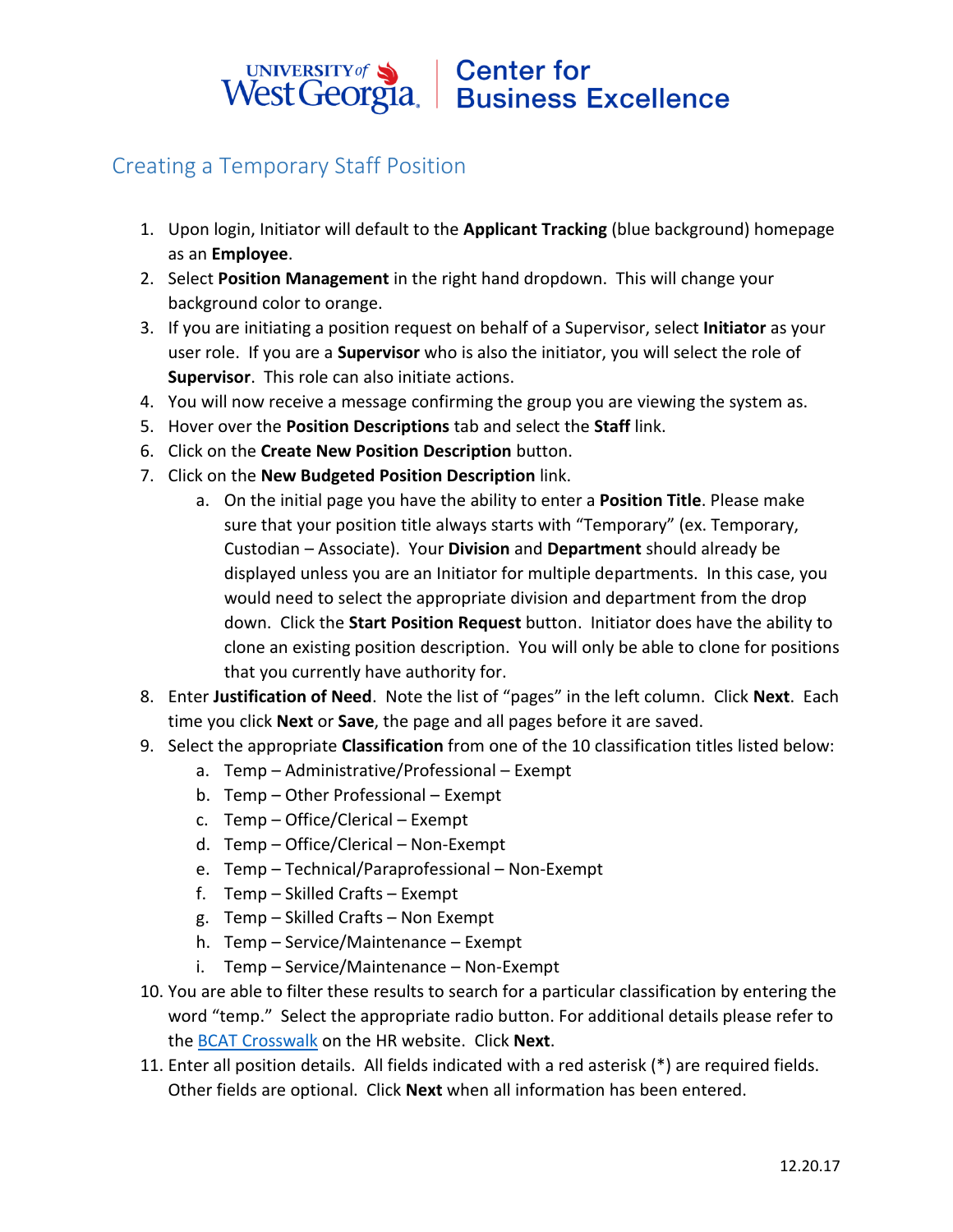## UNIVERSITY of Sand Center for<br>West Georgia. Business Excellence

## Creating a Temporary Staff Position

- 1. Upon login, Initiator will default to the **Applicant Tracking** (blue background) homepage as an **Employee**.
- 2. Select **Position Management** in the right hand dropdown. This will change your background color to orange.
- 3. If you are initiating a position request on behalf of a Supervisor, select **Initiator** as your user role. If you are a **Supervisor** who is also the initiator, you will select the role of **Supervisor**. This role can also initiate actions.
- 4. You will now receive a message confirming the group you are viewing the system as.
- 5. Hover over the **Position Descriptions** tab and select the **Staff** link.
- 6. Click on the **Create New Position Description** button.
- 7. Click on the **New Budgeted Position Description** link.
	- a. On the initial page you have the ability to enter a **Position Title**. Please make sure that your position title always starts with "Temporary" (ex. Temporary, Custodian – Associate). Your **Division** and **Department** should already be displayed unless you are an Initiator for multiple departments. In this case, you would need to select the appropriate division and department from the drop down. Click the **Start Position Request** button. Initiator does have the ability to clone an existing position description. You will only be able to clone for positions that you currently have authority for.
- 8. Enter **Justification of Need**. Note the list of "pages" in the left column. Click **Next**. Each time you click **Next** or **Save**, the page and all pages before it are saved.
- 9. Select the appropriate **Classification** from one of the 10 classification titles listed below:
	- a. Temp Administrative/Professional Exempt
	- b. Temp Other Professional Exempt
	- c. Temp Office/Clerical Exempt
	- d. Temp Office/Clerical Non-Exempt
	- e. Temp Technical/Paraprofessional Non-Exempt
	- f. Temp Skilled Crafts Exempt
	- g. Temp Skilled Crafts Non Exempt
	- h. Temp Service/Maintenance Exempt
	- i. Temp Service/Maintenance Non-Exempt
- 10. You are able to filter these results to search for a particular classification by entering the word "temp." Select the appropriate radio button. For additional details please refer to the [BCAT Crosswalk](http://www.usg.edu/hr/documents/BCAT_Crosswalk_SOC_IPEDS.pdf) on the HR website. Click **Next**.
- 11. Enter all position details. All fields indicated with a red asterisk (\*) are required fields. Other fields are optional. Click **Next** when all information has been entered.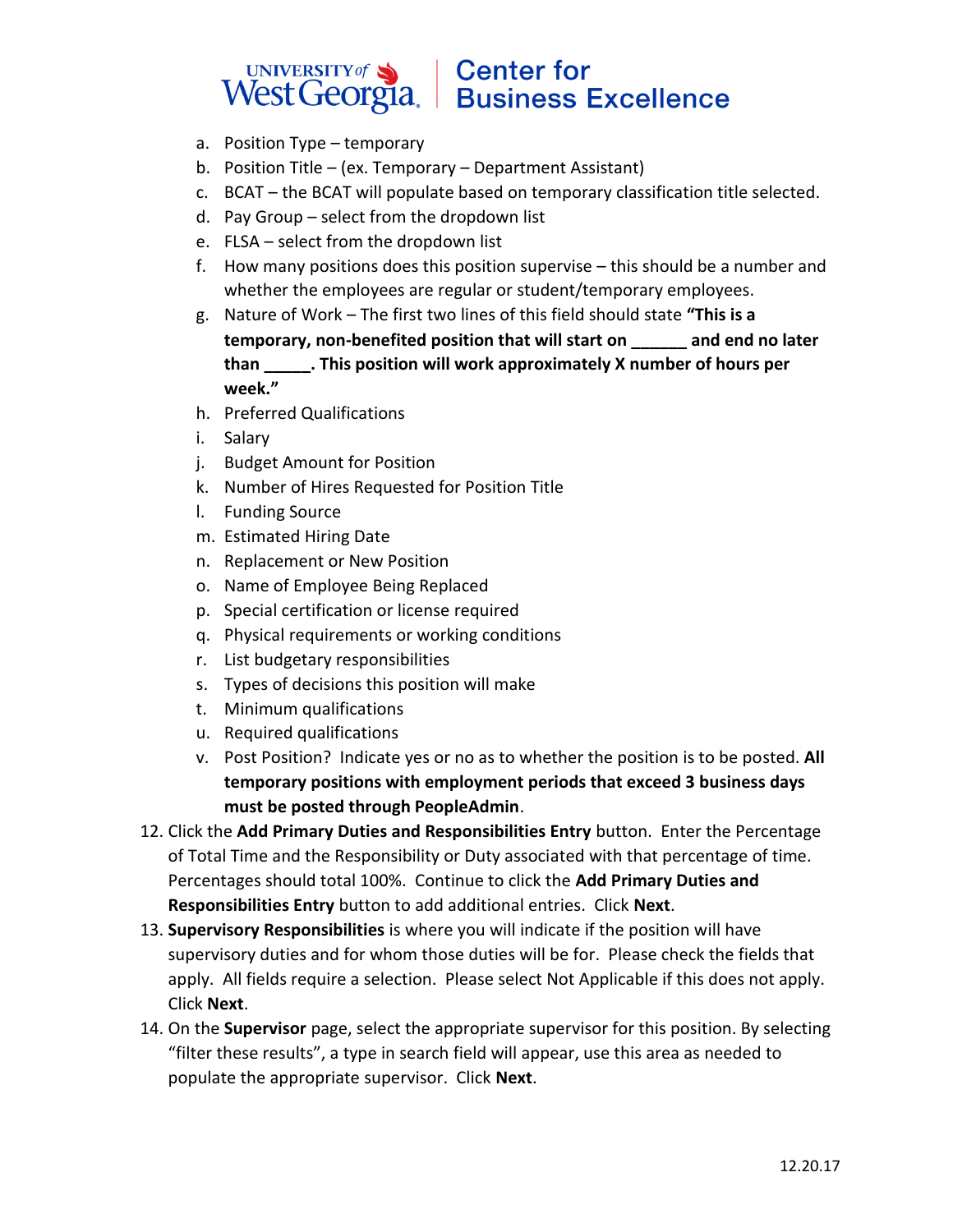## UNIVERSITY of Sand Center for<br>West Georgia. Business Excellence

- a. Position Type temporary
- b. Position Title (ex. Temporary Department Assistant)
- c. BCAT the BCAT will populate based on temporary classification title selected.
- d. Pay Group select from the dropdown list
- e. FLSA select from the dropdown list
- f. How many positions does this position supervise this should be a number and whether the employees are regular or student/temporary employees.
- g. Nature of Work The first two lines of this field should state **"This is a temporary, non-benefited position that will start on \_\_\_\_\_\_ and end no later than \_\_\_\_\_. This position will work approximately X number of hours per week."**
- h. Preferred Qualifications
- i. Salary
- j. Budget Amount for Position
- k. Number of Hires Requested for Position Title
- l. Funding Source
- m. Estimated Hiring Date
- n. Replacement or New Position
- o. Name of Employee Being Replaced
- p. Special certification or license required
- q. Physical requirements or working conditions
- r. List budgetary responsibilities
- s. Types of decisions this position will make
- t. Minimum qualifications
- u. Required qualifications
- v. Post Position? Indicate yes or no as to whether the position is to be posted. **All temporary positions with employment periods that exceed 3 business days must be posted through PeopleAdmin**.
- 12. Click the **Add Primary Duties and Responsibilities Entry** button. Enter the Percentage of Total Time and the Responsibility or Duty associated with that percentage of time. Percentages should total 100%. Continue to click the **Add Primary Duties and Responsibilities Entry** button to add additional entries. Click **Next**.
- 13. **Supervisory Responsibilities** is where you will indicate if the position will have supervisory duties and for whom those duties will be for. Please check the fields that apply. All fields require a selection. Please select Not Applicable if this does not apply. Click **Next**.
- 14. On the **Supervisor** page, select the appropriate supervisor for this position. By selecting "filter these results", a type in search field will appear, use this area as needed to populate the appropriate supervisor. Click **Next**.